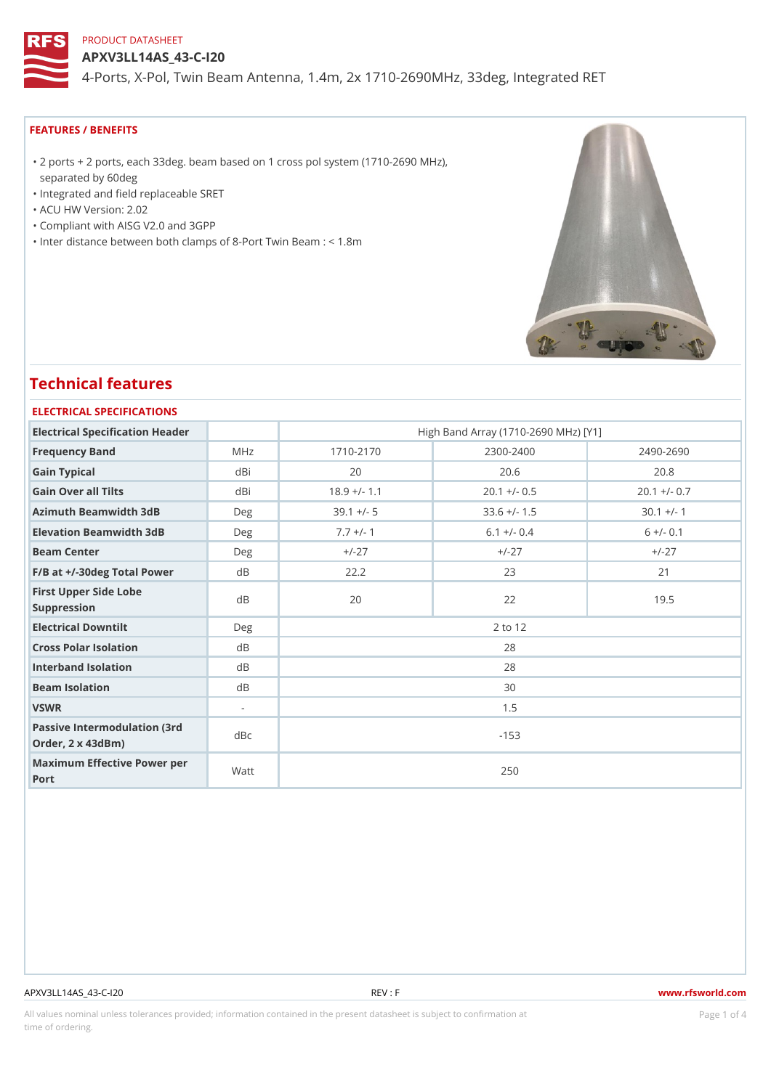APXV3LL14AS\_43-C-I20

4-Ports, X-Pol, Twin Beam Antenna, 1.4m, 2x 1710-2690MHz, 33deg, In

## FEATURES / BENEFITS

2 ports + 2 ports, each 33deg. beam based on 1 cross pol system (1710-2690 MHz), "

- separated by 60deg
- "Integrated and field replaceable SRET
- "ACU HW Version: 2.02
- "Compliant with AISG V2.0 and 3GPP
- "Inter distance between both clamps of 8-Port Twin Beam : < 1.8m

# Technical features

# ELECTRICAL SPECIFICATIONS

| Electrical Specification Header                                   |          | High Band Array (1710-2690 MHz) [Y1] |                |                |  |  |  |  |
|-------------------------------------------------------------------|----------|--------------------------------------|----------------|----------------|--|--|--|--|
| Frequency Band                                                    | MHz      | $1710 - 2170$                        | $2300 - 2400$  | $2490 - 2690$  |  |  |  |  |
| Gain Typical                                                      | dBi      | 20                                   | 20.6           | 20.8           |  |  |  |  |
| Gain Over all Tilts                                               | dBi      | $18.9 +/- 1.1$                       | $20.1 +/- 0.5$ | $20.1 +/- 0.7$ |  |  |  |  |
| Azimuth Beamwidth 3dB                                             | Deg      | $39.1 +/- 5$                         | $33.6$ +/- 1.5 | $30.1 +/- 1$   |  |  |  |  |
| Elevation Beamwidth 3dB                                           | Deg      | $7.7 +/- 1$                          | $6.1 +/- 0.4$  | $6 +/- 0.1$    |  |  |  |  |
| Beam Center                                                       | Deg      | $+/-27$                              | $+/-27$        | $+/-27$        |  |  |  |  |
| $F/B$ at $+/-30$ deg Total Powerd B                               |          | 22.2                                 | 23             | 21             |  |  |  |  |
| First Upper Side Lobe<br>Suppression                              | d B      | 20                                   | 22             | 19.5           |  |  |  |  |
| Electrical Downtilt                                               | Deg      | 2 to 12                              |                |                |  |  |  |  |
| Cross Polar Isolation                                             | $d$ B    | 28                                   |                |                |  |  |  |  |
| Interband Isolation                                               | $d$ B    | 28                                   |                |                |  |  |  |  |
| Beam Isolation                                                    | $d \, B$ | 30                                   |                |                |  |  |  |  |
| VSWR                                                              | $\sim$   | 1.5                                  |                |                |  |  |  |  |
| Passive Intermodulation (3rd dBc<br>Order, $2 \times 43$ d $B$ m) |          | $-153$                               |                |                |  |  |  |  |
| Maximum Effective Power per<br>Port                               |          | 250                                  |                |                |  |  |  |  |

#### APXV3LL14AS\_43-C-I20 REV : F www.rfsworld.com

All values nominal unless tolerances provided; information contained in the present datasheet is subject to Pcaogneion finaltion time of ordering.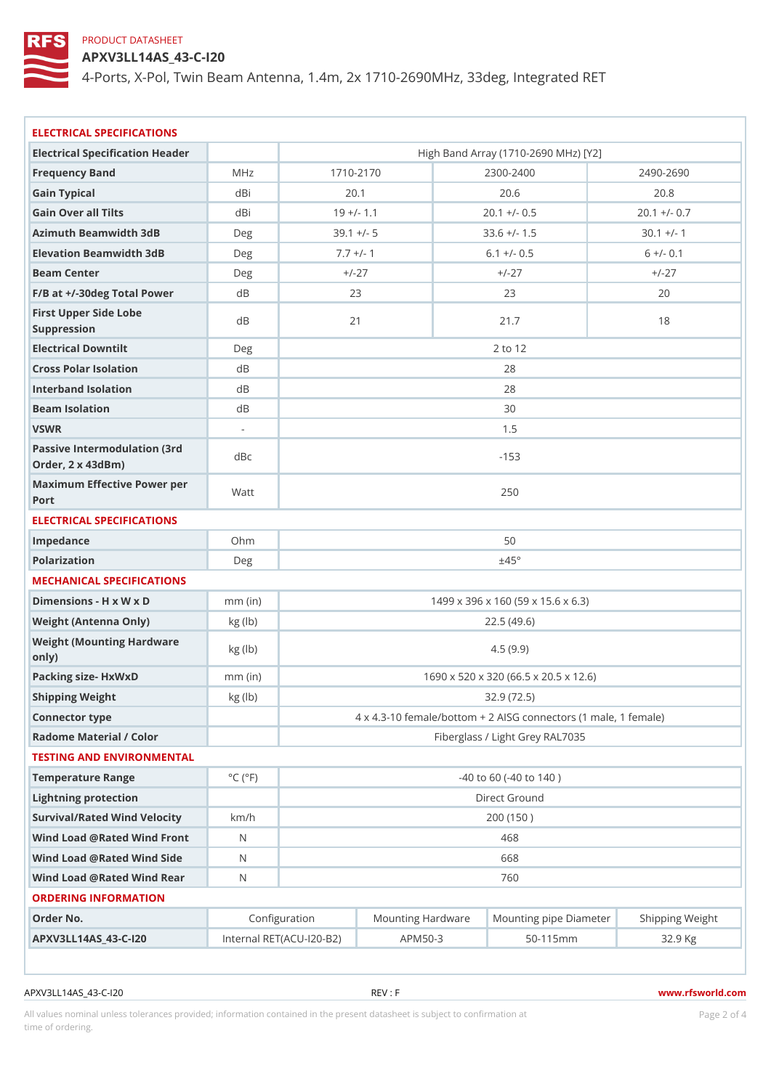APXV3LL14AS\_43-C-I20

4-Ports, X-Pol, Twin Beam Antenna, 1.4m, 2x 1710-2690MHz, 33deg, In

| ELECTRICAL SPECIFICATIONS                             |                             |                                                                       |                                      |  |                |                |  |  |  |  |
|-------------------------------------------------------|-----------------------------|-----------------------------------------------------------------------|--------------------------------------|--|----------------|----------------|--|--|--|--|
| Electrical Specification Header                       |                             |                                                                       | High Band Array (1710-2690 MHz) [Y2] |  |                |                |  |  |  |  |
| Frequency Band                                        | M H z                       |                                                                       | $1710 - 2170$                        |  | $2300 - 2400$  | 2490-2690      |  |  |  |  |
| Gain Typical                                          | dBi                         |                                                                       | 20.1                                 |  | 20.6           | 20.8           |  |  |  |  |
| Gain Over all Tilts                                   | dBi                         | $19 +/- 1.1$                                                          |                                      |  | $20.1 +/- 0.5$ | $20.1 +/- 0.7$ |  |  |  |  |
| Azimuth Beamwidth 3dB                                 | Deg                         |                                                                       | $39.1 +/- 5$                         |  | $33.6$ +/- 1.5 | $30.1 +/- 1$   |  |  |  |  |
| Elevation Beamwidth 3dB                               | Deg                         |                                                                       | $7.7 +/- 1$                          |  | $6.1 +/- 0.5$  | $6 +/- 0.1$    |  |  |  |  |
| Beam Center                                           | Deg                         |                                                                       | $+/-27$                              |  | $+/-27$        | $+$ / - 2.7    |  |  |  |  |
| $F/B$ at $+/-30$ deg Total Powerd B                   |                             |                                                                       | 23                                   |  | 23             | 20             |  |  |  |  |
| First Upper Side Lobe<br>Suppression                  | d B                         |                                                                       | 21                                   |  | 21.7           | 18             |  |  |  |  |
| Electrical Downtilt                                   | Deg                         | 2 to 12                                                               |                                      |  |                |                |  |  |  |  |
| Cross Polar Isolation                                 | d B                         | 28                                                                    |                                      |  |                |                |  |  |  |  |
| Interband Isolation                                   | d B                         | 28                                                                    |                                      |  |                |                |  |  |  |  |
| Beam Isolation                                        | d B                         | 30                                                                    |                                      |  |                |                |  |  |  |  |
| VSWR                                                  | $\mathcal{L}^{\mathcal{L}}$ | 1.5                                                                   |                                      |  |                |                |  |  |  |  |
| Passive Intermodulation (3rd dBc<br>Order, 2 x 43dBm) |                             | $-153$                                                                |                                      |  |                |                |  |  |  |  |
| Maximum Effective Power per<br>Port                   |                             | 250                                                                   |                                      |  |                |                |  |  |  |  |
| ELECTRICAL SPECIFICATIONS                             |                             |                                                                       |                                      |  |                |                |  |  |  |  |
| Impedance                                             | Ohm                         | 50                                                                    |                                      |  |                |                |  |  |  |  |
| Polarization                                          | Deg                         | $\pm$ 45°                                                             |                                      |  |                |                |  |  |  |  |
| MECHANICAL SPECIFICATIONS                             |                             |                                                                       |                                      |  |                |                |  |  |  |  |
| Dimensions - H x W x D                                | $mm$ (in)                   | 1499 x 396 x 160 (59 x 15.6 x 6.3)                                    |                                      |  |                |                |  |  |  |  |
| Weight (Antenna Only)                                 | $kg$ (lb)                   | 22.5(49.6)                                                            |                                      |  |                |                |  |  |  |  |
| Weight (Mounting Hardware kg (lb)<br>only)            |                             | 4.5(9.9)                                                              |                                      |  |                |                |  |  |  |  |
| Packing size- HxWxD                                   | $mm$ (in)                   | 1690 x 520 x 320 (66.5 x 20.5 x 12.6)                                 |                                      |  |                |                |  |  |  |  |
| Shipping Weight                                       | kg (lb)                     | 32.9 (72.5)                                                           |                                      |  |                |                |  |  |  |  |
| Connector type                                        |                             | 4 x 4.3-10 female/bottom + 2 AISG connectors (1 ma e,                 |                                      |  |                |                |  |  |  |  |
| Radome Material / Color                               |                             | Fiberglass / Light Grey RAL7035                                       |                                      |  |                |                |  |  |  |  |
| TESTING AND ENVIRONMENTAL                             |                             |                                                                       |                                      |  |                |                |  |  |  |  |
| Temperature Range                                     | $^{\circ}$ C ( $^{\circ}$ F | $-40$ to 60 ( $-40$ to 140)                                           |                                      |  |                |                |  |  |  |  |
| Lightning protection                                  |                             | Direct Ground                                                         |                                      |  |                |                |  |  |  |  |
| Survival/Rated Wind Velocikm/h                        |                             | 200 (150)                                                             |                                      |  |                |                |  |  |  |  |
| Wind Load @ Rated Wind FroNt                          |                             | 468                                                                   |                                      |  |                |                |  |  |  |  |
| Wind Load @ Rated Wind Sidd                           |                             | 668                                                                   |                                      |  |                |                |  |  |  |  |
| Wind Load @ Rated Wind Real                           |                             | 760                                                                   |                                      |  |                |                |  |  |  |  |
| ORDERING INFORMATION                                  |                             |                                                                       |                                      |  |                |                |  |  |  |  |
| Order No.                                             |                             | Configuration<br>Mounting HardwaMeunting pipe DiameStheirpping Weight |                                      |  |                |                |  |  |  |  |
|                                                       |                             |                                                                       |                                      |  |                |                |  |  |  |  |

APXV3LL14AS\_43-C-I20 REV : F www.rfsworld.com

All values nominal unless tolerances provided; information contained in the present datasheet is subject to Pcapgéio $2$ fnattio time of ordering.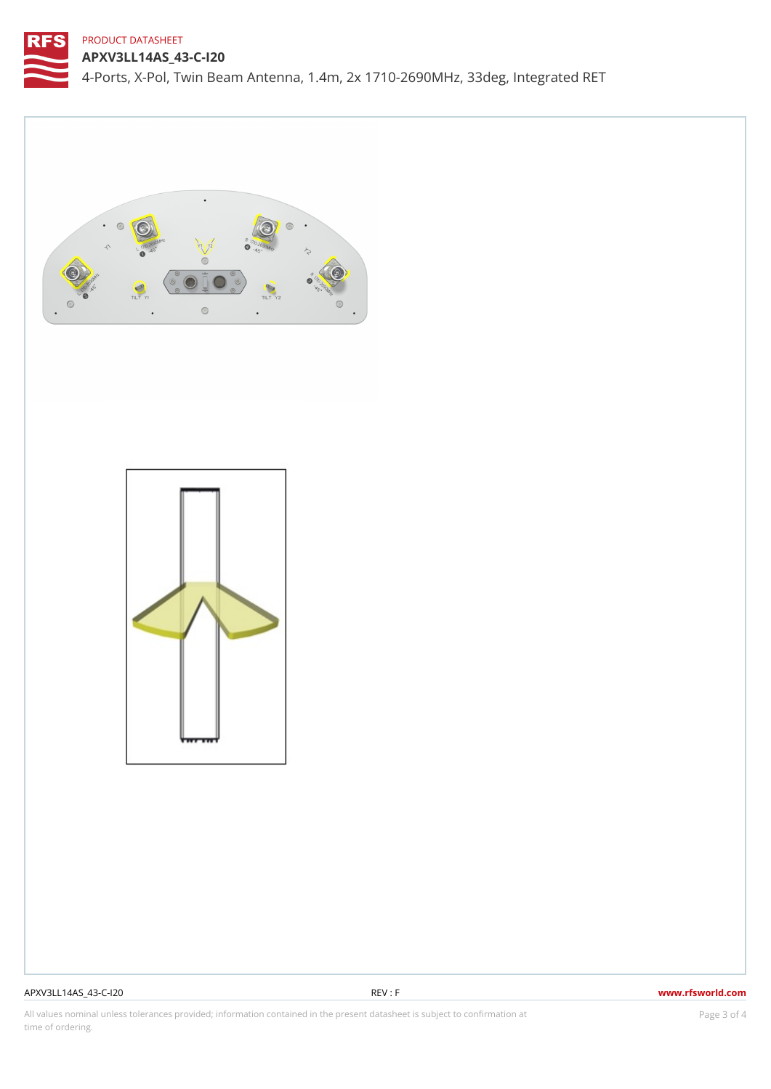APXV3LL14AS\_43-C-I20 4-Ports, X-Pol, Twin Beam Antenna, 1.4m, 2x 1710-2690MHz, 33deg, In

# APXV3LL14AS\_43-C-I20 REV : F www.rfsworld.com

All values nominal unless tolerances provided; information contained in the present datasheet is subject to PcapgéinGM attional time of ordering.